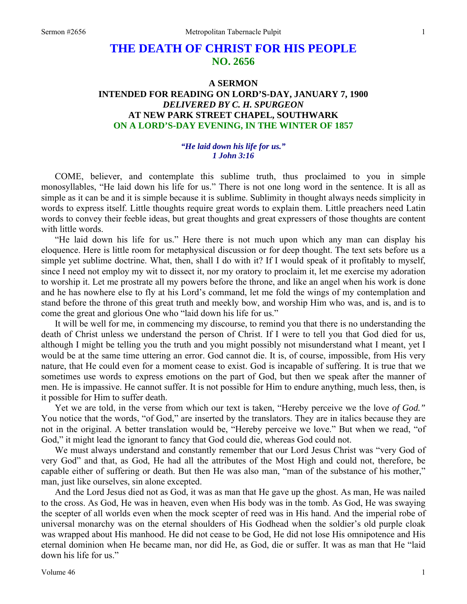# **THE DEATH OF CHRIST FOR HIS PEOPLE NO. 2656**

## **A SERMON INTENDED FOR READING ON LORD'S-DAY, JANUARY 7, 1900**  *DELIVERED BY C. H. SPURGEON*  **AT NEW PARK STREET CHAPEL, SOUTHWARK ON A LORD'S-DAY EVENING, IN THE WINTER OF 1857**

#### *"He laid down his life for us." 1 John 3:16*

COME, believer, and contemplate this sublime truth, thus proclaimed to you in simple monosyllables, "He laid down his life for us." There is not one long word in the sentence. It is all as simple as it can be and it is simple because it is sublime. Sublimity in thought always needs simplicity in words to express itself. Little thoughts require great words to explain them. Little preachers need Latin words to convey their feeble ideas, but great thoughts and great expressers of those thoughts are content with little words.

 "He laid down his life for us." Here there is not much upon which any man can display his eloquence. Here is little room for metaphysical discussion or for deep thought. The text sets before us a simple yet sublime doctrine. What, then, shall I do with it? If I would speak of it profitably to myself, since I need not employ my wit to dissect it, nor my oratory to proclaim it, let me exercise my adoration to worship it. Let me prostrate all my powers before the throne, and like an angel when his work is done and he has nowhere else to fly at his Lord's command, let me fold the wings of my contemplation and stand before the throne of this great truth and meekly bow, and worship Him who was, and is, and is to come the great and glorious One who "laid down his life for us."

 It will be well for me, in commencing my discourse, to remind you that there is no understanding the death of Christ unless we understand the person of Christ. If I were to tell you that God died for us, although I might be telling you the truth and you might possibly not misunderstand what I meant, yet I would be at the same time uttering an error. God cannot die. It is, of course, impossible, from His very nature, that He could even for a moment cease to exist. God is incapable of suffering. It is true that we sometimes use words to express emotions on the part of God, but then we speak after the manner of men. He is impassive. He cannot suffer. It is not possible for Him to endure anything, much less, then, is it possible for Him to suffer death.

 Yet we are told, in the verse from which our text is taken, "Hereby perceive we the love *of God."* You notice that the words, "of God," are inserted by the translators. They are in italics because they are not in the original. A better translation would be, "Hereby perceive we love." But when we read, "of God," it might lead the ignorant to fancy that God could die, whereas God could not.

 We must always understand and constantly remember that our Lord Jesus Christ was "very God of very God" and that, as God, He had all the attributes of the Most High and could not, therefore, be capable either of suffering or death. But then He was also man, "man of the substance of his mother," man, just like ourselves, sin alone excepted.

 And the Lord Jesus died not as God, it was as man that He gave up the ghost. As man, He was nailed to the cross. As God, He was in heaven, even when His body was in the tomb. As God, He was swaying the scepter of all worlds even when the mock scepter of reed was in His hand. And the imperial robe of universal monarchy was on the eternal shoulders of His Godhead when the soldier's old purple cloak was wrapped about His manhood. He did not cease to be God, He did not lose His omnipotence and His eternal dominion when He became man, nor did He, as God, die or suffer. It was as man that He "laid down his life for us."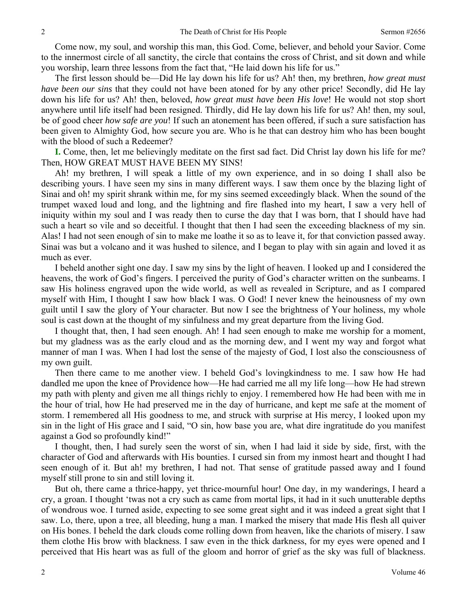Come now, my soul, and worship this man, this God. Come, believer, and behold your Savior. Come to the innermost circle of all sanctity, the circle that contains the cross of Christ, and sit down and while you worship, learn three lessons from the fact that, "He laid down his life for us."

 The first lesson should be—Did He lay down his life for us? Ah! then, my brethren, *how great must have been our sins* that they could not have been atoned for by any other price! Secondly, did He lay down his life for us? Ah! then, beloved, *how great must have been His love*! He would not stop short anywhere until life itself had been resigned. Thirdly, did He lay down his life for us? Ah! then, my soul, be of good cheer *how safe are you*! If such an atonement has been offered, if such a sure satisfaction has been given to Almighty God, how secure you are. Who is he that can destroy him who has been bought with the blood of such a Redeemer?

**I.** Come, then, let me believingly meditate on the first sad fact. Did Christ lay down his life for me? Then, HOW GREAT MUST HAVE BEEN MY SINS!

 Ah! my brethren, I will speak a little of my own experience, and in so doing I shall also be describing yours. I have seen my sins in many different ways. I saw them once by the blazing light of Sinai and oh! my spirit shrank within me, for my sins seemed exceedingly black. When the sound of the trumpet waxed loud and long, and the lightning and fire flashed into my heart, I saw a very hell of iniquity within my soul and I was ready then to curse the day that I was born, that I should have had such a heart so vile and so deceitful. I thought that then I had seen the exceeding blackness of my sin. Alas! I had not seen enough of sin to make me loathe it so as to leave it, for that conviction passed away. Sinai was but a volcano and it was hushed to silence, and I began to play with sin again and loved it as much as ever.

 I beheld another sight one day. I saw my sins by the light of heaven. I looked up and I considered the heavens, the work of God's fingers. I perceived the purity of God's character written on the sunbeams. I saw His holiness engraved upon the wide world, as well as revealed in Scripture, and as I compared myself with Him, I thought I saw how black I was. O God! I never knew the heinousness of my own guilt until I saw the glory of Your character. But now I see the brightness of Your holiness, my whole soul is cast down at the thought of my sinfulness and my great departure from the living God.

 I thought that, then, I had seen enough. Ah! I had seen enough to make me worship for a moment, but my gladness was as the early cloud and as the morning dew, and I went my way and forgot what manner of man I was. When I had lost the sense of the majesty of God, I lost also the consciousness of my own guilt.

 Then there came to me another view. I beheld God's lovingkindness to me. I saw how He had dandled me upon the knee of Providence how—He had carried me all my life long—how He had strewn my path with plenty and given me all things richly to enjoy. I remembered how He had been with me in the hour of trial, how He had preserved me in the day of hurricane, and kept me safe at the moment of storm. I remembered all His goodness to me, and struck with surprise at His mercy, I looked upon my sin in the light of His grace and I said, "O sin, how base you are, what dire ingratitude do you manifest against a God so profoundly kind!"

 I thought, then, I had surely seen the worst of sin, when I had laid it side by side, first, with the character of God and afterwards with His bounties. I cursed sin from my inmost heart and thought I had seen enough of it. But ah! my brethren, I had not. That sense of gratitude passed away and I found myself still prone to sin and still loving it.

 But oh, there came a thrice-happy, yet thrice-mournful hour! One day, in my wanderings, I heard a cry, a groan. I thought 'twas not a cry such as came from mortal lips, it had in it such unutterable depths of wondrous woe. I turned aside, expecting to see some great sight and it was indeed a great sight that I saw. Lo, there, upon a tree, all bleeding, hung a man. I marked the misery that made His flesh all quiver on His bones. I beheld the dark clouds come rolling down from heaven, like the chariots of misery. I saw them clothe His brow with blackness. I saw even in the thick darkness, for my eyes were opened and I perceived that His heart was as full of the gloom and horror of grief as the sky was full of blackness.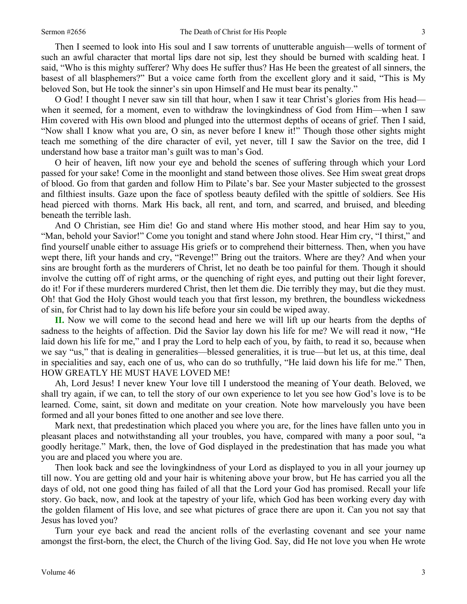Then I seemed to look into His soul and I saw torrents of unutterable anguish—wells of torment of such an awful character that mortal lips dare not sip, lest they should be burned with scalding heat. I said, "Who is this mighty sufferer? Why does He suffer thus? Has He been the greatest of all sinners, the basest of all blasphemers?" But a voice came forth from the excellent glory and it said, "This is My beloved Son, but He took the sinner's sin upon Himself and He must bear its penalty."

 O God! I thought I never saw sin till that hour, when I saw it tear Christ's glories from His head when it seemed, for a moment, even to withdraw the lovingkindness of God from Him—when I saw Him covered with His own blood and plunged into the uttermost depths of oceans of grief. Then I said, "Now shall I know what you are, O sin, as never before I knew it!" Though those other sights might teach me something of the dire character of evil, yet never, till I saw the Savior on the tree, did I understand how base a traitor man's guilt was to man's God.

 O heir of heaven, lift now your eye and behold the scenes of suffering through which your Lord passed for your sake! Come in the moonlight and stand between those olives. See Him sweat great drops of blood. Go from that garden and follow Him to Pilate's bar. See your Master subjected to the grossest and filthiest insults. Gaze upon the face of spotless beauty defiled with the spittle of soldiers. See His head pierced with thorns. Mark His back, all rent, and torn, and scarred, and bruised, and bleeding beneath the terrible lash.

 And O Christian, see Him die! Go and stand where His mother stood, and hear Him say to you, "Man, behold your Savior!" Come you tonight and stand where John stood. Hear Him cry, "I thirst," and find yourself unable either to assuage His griefs or to comprehend their bitterness. Then, when you have wept there, lift your hands and cry, "Revenge!" Bring out the traitors. Where are they? And when your sins are brought forth as the murderers of Christ, let no death be too painful for them. Though it should involve the cutting off of right arms, or the quenching of right eyes, and putting out their light forever, do it! For if these murderers murdered Christ, then let them die. Die terribly they may, but die they must. Oh! that God the Holy Ghost would teach you that first lesson, my brethren, the boundless wickedness of sin, for Christ had to lay down his life before your sin could be wiped away.

**II.** Now we will come to the second head and here we will lift up our hearts from the depths of sadness to the heights of affection. Did the Savior lay down his life for me? We will read it now, "He laid down his life for me," and I pray the Lord to help each of you, by faith, to read it so, because when we say "us," that is dealing in generalities—blessed generalities, it is true—but let us, at this time, deal in specialities and say, each one of us, who can do so truthfully, "He laid down his life for me." Then, HOW GREATLY HE MUST HAVE LOVED ME!

 Ah, Lord Jesus! I never knew Your love till I understood the meaning of Your death. Beloved, we shall try again, if we can, to tell the story of our own experience to let you see how God's love is to be learned. Come, saint, sit down and meditate on your creation. Note how marvelously you have been formed and all your bones fitted to one another and see love there.

 Mark next, that predestination which placed you where you are, for the lines have fallen unto you in pleasant places and notwithstanding all your troubles, you have, compared with many a poor soul, "a goodly heritage." Mark, then, the love of God displayed in the predestination that has made you what you are and placed you where you are.

 Then look back and see the lovingkindness of your Lord as displayed to you in all your journey up till now. You are getting old and your hair is whitening above your brow, but He has carried you all the days of old, not one good thing has failed of all that the Lord your God has promised. Recall your life story. Go back, now, and look at the tapestry of your life, which God has been working every day with the golden filament of His love, and see what pictures of grace there are upon it. Can you not say that Jesus has loved you?

 Turn your eye back and read the ancient rolls of the everlasting covenant and see your name amongst the first-born, the elect, the Church of the living God. Say, did He not love you when He wrote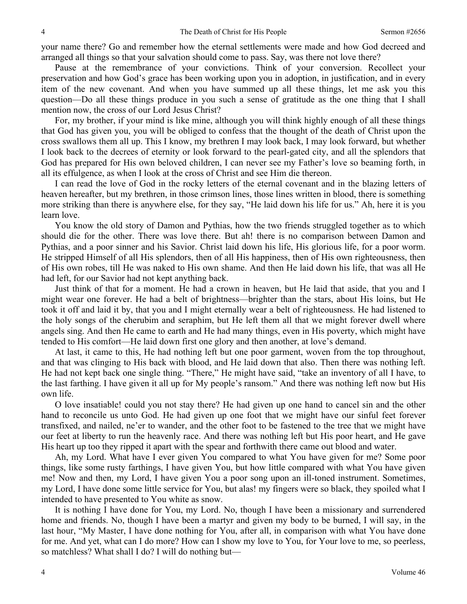your name there? Go and remember how the eternal settlements were made and how God decreed and arranged all things so that your salvation should come to pass. Say, was there not love there?

 Pause at the remembrance of your convictions. Think of your conversion. Recollect your preservation and how God's grace has been working upon you in adoption, in justification, and in every item of the new covenant. And when you have summed up all these things, let me ask you this question—Do all these things produce in you such a sense of gratitude as the one thing that I shall mention now, the cross of our Lord Jesus Christ?

 For, my brother, if your mind is like mine, although you will think highly enough of all these things that God has given you, you will be obliged to confess that the thought of the death of Christ upon the cross swallows them all up. This I know, my brethren I may look back, I may look forward, but whether I look back to the decrees of eternity or look forward to the pearl-gated city, and all the splendors that God has prepared for His own beloved children, I can never see my Father's love so beaming forth, in all its effulgence, as when I look at the cross of Christ and see Him die thereon.

 I can read the love of God in the rocky letters of the eternal covenant and in the blazing letters of heaven hereafter, but my brethren, in those crimson lines, those lines written in blood, there is something more striking than there is anywhere else, for they say, "He laid down his life for us." Ah, here it is you learn love.

 You know the old story of Damon and Pythias, how the two friends struggled together as to which should die for the other. There was love there. But ah! there is no comparison between Damon and Pythias, and a poor sinner and his Savior. Christ laid down his life, His glorious life, for a poor worm. He stripped Himself of all His splendors, then of all His happiness, then of His own righteousness, then of His own robes, till He was naked to His own shame. And then He laid down his life, that was all He had left, for our Savior had not kept anything back.

 Just think of that for a moment. He had a crown in heaven, but He laid that aside, that you and I might wear one forever. He had a belt of brightness—brighter than the stars, about His loins, but He took it off and laid it by, that you and I might eternally wear a belt of righteousness. He had listened to the holy songs of the cherubim and seraphim, but He left them all that we might forever dwell where angels sing. And then He came to earth and He had many things, even in His poverty, which might have tended to His comfort—He laid down first one glory and then another, at love's demand.

 At last, it came to this, He had nothing left but one poor garment, woven from the top throughout, and that was clinging to His back with blood, and He laid down that also. Then there was nothing left. He had not kept back one single thing. "There," He might have said, "take an inventory of all I have, to the last farthing. I have given it all up for My people's ransom." And there was nothing left now but His own life.

 O love insatiable! could you not stay there? He had given up one hand to cancel sin and the other hand to reconcile us unto God. He had given up one foot that we might have our sinful feet forever transfixed, and nailed, ne'er to wander, and the other foot to be fastened to the tree that we might have our feet at liberty to run the heavenly race. And there was nothing left but His poor heart, and He gave His heart up too they ripped it apart with the spear and forthwith there came out blood and water.

 Ah, my Lord. What have I ever given You compared to what You have given for me? Some poor things, like some rusty farthings, I have given You, but how little compared with what You have given me! Now and then, my Lord, I have given You a poor song upon an ill-toned instrument. Sometimes, my Lord, I have done some little service for You, but alas! my fingers were so black, they spoiled what I intended to have presented to You white as snow.

 It is nothing I have done for You, my Lord. No, though I have been a missionary and surrendered home and friends. No, though I have been a martyr and given my body to be burned, I will say, in the last hour, "My Master, I have done nothing for You, after all, in comparison with what You have done for me. And yet, what can I do more? How can I show my love to You, for Your love to me, so peerless, so matchless? What shall I do? I will do nothing but—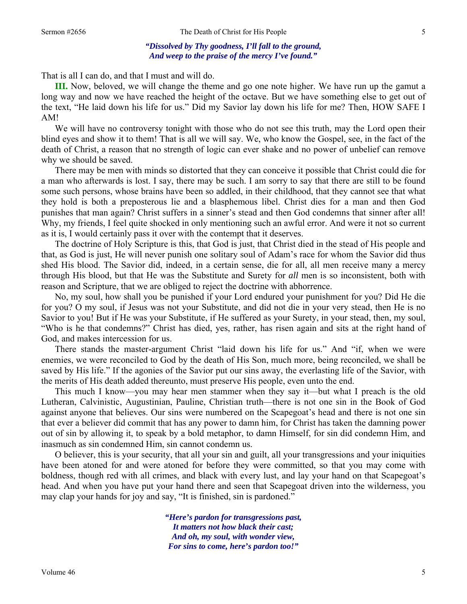#### *"Dissolved by Thy goodness, I'll fall to the ground, And weep to the praise of the mercy I've found."*

That is all I can do, and that I must and will do.

**III.** Now, beloved, we will change the theme and go one note higher. We have run up the gamut a long way and now we have reached the height of the octave. But we have something else to get out of the text, "He laid down his life for us." Did my Savior lay down his life for me? Then, HOW SAFE I AM!

 We will have no controversy tonight with those who do not see this truth, may the Lord open their blind eyes and show it to them! That is all we will say. We, who know the Gospel, see, in the fact of the death of Christ, a reason that no strength of logic can ever shake and no power of unbelief can remove why we should be saved.

 There may be men with minds so distorted that they can conceive it possible that Christ could die for a man who afterwards is lost. I say, there may be such. I am sorry to say that there are still to be found some such persons, whose brains have been so addled, in their childhood, that they cannot see that what they hold is both a preposterous lie and a blasphemous libel. Christ dies for a man and then God punishes that man again? Christ suffers in a sinner's stead and then God condemns that sinner after all! Why, my friends, I feel quite shocked in only mentioning such an awful error. And were it not so current as it is, I would certainly pass it over with the contempt that it deserves.

 The doctrine of Holy Scripture is this, that God is just, that Christ died in the stead of His people and that, as God is just, He will never punish one solitary soul of Adam's race for whom the Savior did thus shed His blood. The Savior did, indeed, in a certain sense, die for all, all men receive many a mercy through His blood, but that He was the Substitute and Surety for *all* men is so inconsistent, both with reason and Scripture, that we are obliged to reject the doctrine with abhorrence.

 No, my soul, how shall you be punished if your Lord endured your punishment for you? Did He die for you? O my soul, if Jesus was not your Substitute, and did not die in your very stead, then He is no Savior to you! But if He was your Substitute, if He suffered as your Surety, in your stead, then, my soul, "Who is he that condemns?" Christ has died, yes, rather, has risen again and sits at the right hand of God, and makes intercession for us.

 There stands the master-argument Christ "laid down his life for us." And "if, when we were enemies, we were reconciled to God by the death of His Son, much more, being reconciled, we shall be saved by His life." If the agonies of the Savior put our sins away, the everlasting life of the Savior, with the merits of His death added thereunto, must preserve His people, even unto the end.

 This much I know—you may hear men stammer when they say it—but what I preach is the old Lutheran, Calvinistic, Augustinian, Pauline, Christian truth—there is not one sin in the Book of God against anyone that believes. Our sins were numbered on the Scapegoat's head and there is not one sin that ever a believer did commit that has any power to damn him, for Christ has taken the damning power out of sin by allowing it, to speak by a bold metaphor, to damn Himself, for sin did condemn Him, and inasmuch as sin condemned Him, sin cannot condemn us.

 O believer, this is your security, that all your sin and guilt, all your transgressions and your iniquities have been atoned for and were atoned for before they were committed, so that you may come with boldness, though red with all crimes, and black with every lust, and lay your hand on that Scapegoat's head. And when you have put your hand there and seen that Scapegoat driven into the wilderness, you may clap your hands for joy and say, "It is finished, sin is pardoned."

> *"Here's pardon for transgressions past, It matters not how black their cast; And oh, my soul, with wonder view, For sins to come, here's pardon too!"*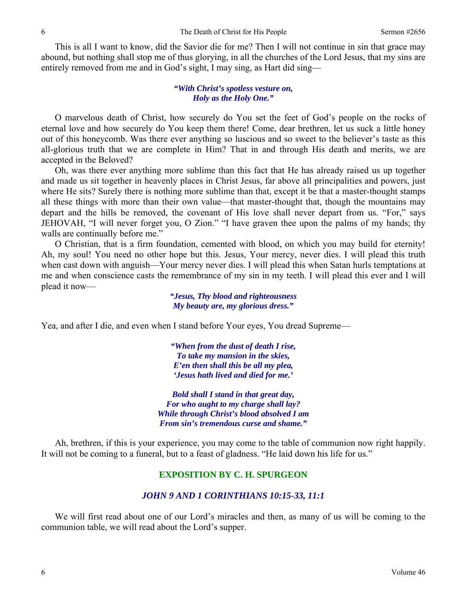This is all I want to know, did the Savior die for me? Then I will not continue in sin that grace may abound, but nothing shall stop me of thus glorying, in all the churches of the Lord Jesus, that my sins are entirely removed from me and in God's sight, I may sing, as Hart did sing—

### *"With Christ's spotless vesture on, Holy as the Holy One."*

 O marvelous death of Christ, how securely do You set the feet of God's people on the rocks of eternal love and how securely do You keep them there! Come, dear brethren, let us suck a little honey out of this honeycomb. Was there ever anything so luscious and so sweet to the believer's taste as this all-glorious truth that we are complete in Him? That in and through His death and merits, we are accepted in the Beloved?

 Oh, was there ever anything more sublime than this fact that He has already raised us up together and made us sit together in heavenly places in Christ Jesus, far above all principalities and powers, just where He sits? Surely there is nothing more sublime than that, except it be that a master-thought stamps all these things with more than their own value—that master-thought that, though the mountains may depart and the hills be removed, the covenant of His love shall never depart from us. "For," says JEHOVAH, "I will never forget you, O Zion." "I have graven thee upon the palms of my hands; thy walls are continually before me."

 O Christian, that is a firm foundation, cemented with blood, on which you may build for eternity! Ah, my soul! You need no other hope but this. Jesus, Your mercy, never dies. I will plead this truth when cast down with anguish—Your mercy never dies. I will plead this when Satan hurls temptations at me and when conscience casts the remembrance of my sin in my teeth. I will plead this ever and I will plead it now—

> *"Jesus, Thy blood and righteousness My beauty are, my glorious dress."*

Yea, and after I die, and even when I stand before Your eyes, You dread Supreme—

*"When from the dust of death I rise, To take my mansion in the skies, E'en then shall this be all my plea, 'Jesus hath lived and died for me.'* 

*Bold shall I stand in that great day, For who aught to my charge shall lay? While through Christ's blood absolved I am From sin's tremendous curse and shame."* 

 Ah, brethren, if this is your experience, you may come to the table of communion now right happily. It will not be coming to a funeral, but to a feast of gladness. "He laid down his life for us."

## **EXPOSITION BY C. H. SPURGEON**

#### *JOHN 9 AND 1 CORINTHIANS 10:15-33, 11:1*

We will first read about one of our Lord's miracles and then, as many of us will be coming to the communion table, we will read about the Lord's supper.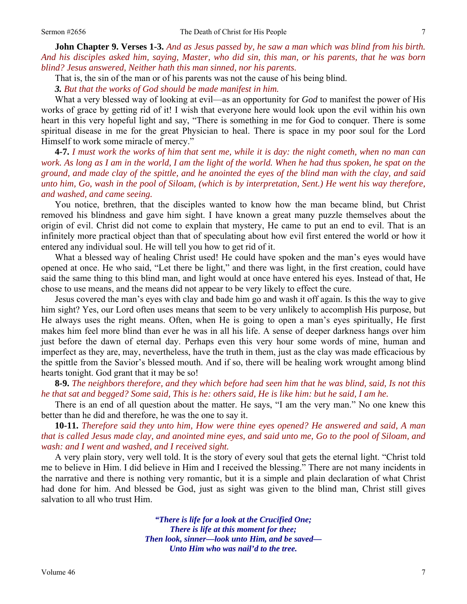**John Chapter 9. Verses 1-3.** *And as Jesus passed by, he saw a man which was blind from his birth. And his disciples asked him, saying, Master, who did sin, this man, or his parents, that he was born blind? Jesus answered, Neither hath this man sinned, nor his parents.* 

That is, the sin of the man or of his parents was not the cause of his being blind.

*3. But that the works of God should be made manifest in him.* 

What a very blessed way of looking at evil—as an opportunity for *God* to manifest the power of His works of grace by getting rid of it! I wish that everyone here would look upon the evil within his own heart in this very hopeful light and say, "There is something in me for God to conquer. There is some spiritual disease in me for the great Physician to heal. There is space in my poor soul for the Lord Himself to work some miracle of mercy."

**4-7.** *I must work the works of him that sent me, while it is day: the night cometh, when no man can work. As long as I am in the world, I am the light of the world. When he had thus spoken, he spat on the ground, and made clay of the spittle, and he anointed the eyes of the blind man with the clay, and said unto him, Go, wash in the pool of Siloam, (which is by interpretation, Sent.) He went his way therefore, and washed, and came seeing.* 

You notice, brethren, that the disciples wanted to know how the man became blind, but Christ removed his blindness and gave him sight. I have known a great many puzzle themselves about the origin of evil. Christ did not come to explain that mystery, He came to put an end to evil. That is an infinitely more practical object than that of speculating about how evil first entered the world or how it entered any individual soul. He will tell you how to get rid of it.

 What a blessed way of healing Christ used! He could have spoken and the man's eyes would have opened at once. He who said, "Let there be light," and there was light, in the first creation, could have said the same thing to this blind man, and light would at once have entered his eyes. Instead of that, He chose to use means, and the means did not appear to be very likely to effect the cure.

 Jesus covered the man's eyes with clay and bade him go and wash it off again. Is this the way to give him sight? Yes, our Lord often uses means that seem to be very unlikely to accomplish His purpose, but He always uses the right means. Often, when He is going to open a man's eyes spiritually, He first makes him feel more blind than ever he was in all his life. A sense of deeper darkness hangs over him just before the dawn of eternal day. Perhaps even this very hour some words of mine, human and imperfect as they are, may, nevertheless, have the truth in them, just as the clay was made efficacious by the spittle from the Savior's blessed mouth. And if so, there will be healing work wrought among blind hearts tonight. God grant that it may be so!

**8-9.** *The neighbors therefore, and they which before had seen him that he was blind, said, Is not this he that sat and begged? Some said, This is he: others said, He is like him: but he said, I am he.* 

There is an end of all question about the matter. He says, "I am the very man." No one knew this better than he did and therefore, he was the one to say it.

**10-11.** *Therefore said they unto him, How were thine eyes opened? He answered and said, A man that is called Jesus made clay, and anointed mine eyes, and said unto me, Go to the pool of Siloam, and wash: and I went and washed, and I received sight.* 

A very plain story, very well told. It is the story of every soul that gets the eternal light. "Christ told me to believe in Him. I did believe in Him and I received the blessing." There are not many incidents in the narrative and there is nothing very romantic, but it is a simple and plain declaration of what Christ had done for him. And blessed be God, just as sight was given to the blind man, Christ still gives salvation to all who trust Him.

> *"There is life for a look at the Crucified One; There is life at this moment for thee; Then look, sinner—look unto Him, and be saved— Unto Him who was nail'd to the tree.*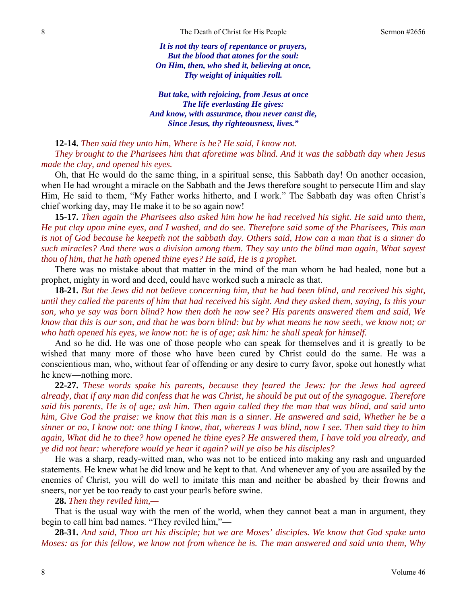*It is not thy tears of repentance or prayers, But the blood that atones for the soul: On Him, then, who shed it, believing at once, Thy weight of iniquities roll.* 

*But take, with rejoicing, from Jesus at once The life everlasting He gives: And know, with assurance, thou never canst die, Since Jesus, thy righteousness, lives."* 

**12-14.** *Then said they unto him, Where is he? He said, I know not. They brought to the Pharisees him that aforetime was blind. And it was the sabbath day when Jesus made the clay, and opened his eyes.* 

Oh, that He would do the same thing, in a spiritual sense, this Sabbath day! On another occasion, when He had wrought a miracle on the Sabbath and the Jews therefore sought to persecute Him and slay Him, He said to them, "My Father works hitherto, and I work." The Sabbath day was often Christ's chief working day, may He make it to be so again now!

**15-17.** *Then again the Pharisees also asked him how he had received his sight. He said unto them, He put clay upon mine eyes, and I washed, and do see. Therefore said some of the Pharisees, This man is not of God because he keepeth not the sabbath day. Others said, How can a man that is a sinner do such miracles? And there was a division among them. They say unto the blind man again, What sayest thou of him, that he hath opened thine eyes? He said, He is a prophet.* 

There was no mistake about that matter in the mind of the man whom he had healed, none but a prophet, mighty in word and deed, could have worked such a miracle as that.

**18-21.** *But the Jews did not believe concerning him, that he had been blind, and received his sight, until they called the parents of him that had received his sight. And they asked them, saying, Is this your son, who ye say was born blind? how then doth he now see? His parents answered them and said, We know that this is our son, and that he was born blind: but by what means he now seeth, we know not; or who hath opened his eyes, we know not: he is of age; ask him: he shall speak for himself.* 

And so he did. He was one of those people who can speak for themselves and it is greatly to be wished that many more of those who have been cured by Christ could do the same. He was a conscientious man, who, without fear of offending or any desire to curry favor, spoke out honestly what he knew—nothing more.

**22-27.** *These words spake his parents, because they feared the Jews: for the Jews had agreed already, that if any man did confess that he was Christ, he should be put out of the synagogue. Therefore said his parents, He is of age; ask him. Then again called they the man that was blind, and said unto him, Give God the praise: we know that this man is a sinner. He answered and said, Whether he be a sinner or no, I know not: one thing I know, that, whereas I was blind, now I see. Then said they to him again, What did he to thee? how opened he thine eyes? He answered them, I have told you already, and ye did not hear: wherefore would ye hear it again? will ye also be his disciples?* 

He was a sharp, ready-witted man, who was not to be enticed into making any rash and unguarded statements. He knew what he did know and he kept to that. And whenever any of you are assailed by the enemies of Christ, you will do well to imitate this man and neither be abashed by their frowns and sneers, nor yet be too ready to cast your pearls before swine.

**28.** *Then they reviled him,—*

That is the usual way with the men of the world, when they cannot beat a man in argument, they begin to call him bad names. "They reviled him,"—

**28-31.** *And said, Thou art his disciple; but we are Moses' disciples. We know that God spake unto Moses: as for this fellow, we know not from whence he is. The man answered and said unto them, Why*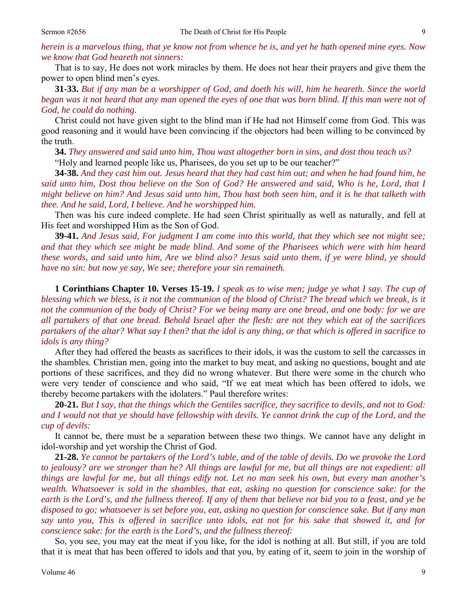*herein is a marvelous thing, that ye know not from whence he is, and yet he hath opened mine eyes. Now we know that God heareth not sinners:* 

That is to say, He does not work miracles by them. He does not hear their prayers and give them the power to open blind men's eyes.

**31-33.** *But if any man be a worshipper of God, and doeth his will, him he heareth. Since the world began was it not heard that any man opened the eyes of one that was born blind. If this man were not of God, he could do nothing.* 

Christ could not have given sight to the blind man if He had not Himself come from God. This was good reasoning and it would have been convincing if the objectors had been willing to be convinced by the truth.

**34.** *They answered and said unto him, Thou wast altogether born in sins, and dost thou teach us?*  "Holy and learned people like us, Pharisees, do you set up to be our teacher?"

**34-38.** *And they cast him out. Jesus heard that they had cast him out; and when he had found him, he said unto him, Dost thou believe on the Son of God? He answered and said, Who is he, Lord, that I might believe on him? And Jesus said unto him, Thou hast both seen him, and it is he that talketh with thee. And he said, Lord, I believe. And he worshipped him.* 

Then was his cure indeed complete. He had seen Christ spiritually as well as naturally, and fell at His feet and worshipped Him as the Son of God.

**39-41.** *And Jesus said, For judgment I am come into this world, that they which see not might see; and that they which see might be made blind. And some of the Pharisees which were with him heard these words, and said unto him, Are we blind also? Jesus said unto them, if ye were blind, ye should have no sin: but now ye say, We see; therefore your sin remaineth.* 

**1 Corinthians Chapter 10. Verses 15-19.** *I speak as to wise men; judge ye what I say. The cup of blessing which we bless, is it not the communion of the blood of Christ? The bread which we break, is it not the communion of the body of Christ? For we being many are one bread, and one body: for we are all partakers of that one bread. Behold Israel after the flesh: are not they which eat of the sacrifices partakers of the altar? What say I then? that the idol is any thing, or that which is offered in sacrifice to idols is any thing?* 

After they had offered the beasts as sacrifices to their idols, it was the custom to sell the carcasses in the shambles. Christian men, going into the market to buy meat, and asking no questions, bought and ate portions of these sacrifices, and they did no wrong whatever. But there were some in the church who were very tender of conscience and who said, "If we eat meat which has been offered to idols, we thereby become partakers with the idolaters." Paul therefore writes:

**20-21.** *But I say, that the things which the Gentiles sacrifice, they sacrifice to devils, and not to God: and I would not that ye should have fellowship with devils. Ye cannot drink the cup of the Lord, and the cup of devils:* 

It cannot be, there must be a separation between these two things. We cannot have any delight in idol-worship and yet worship the Christ of God.

**21-28.** *Ye cannot be partakers of the Lord's table, and of the table of devils. Do we provoke the Lord to jealousy? are we stronger than he? All things are lawful for me, but all things are not expedient: all things are lawful for me, but all things edify not. Let no man seek his own, but every man another's wealth. Whatsoever is sold in the shambles, that eat, asking no question for conscience sake: for the earth is the Lord's, and the fullness thereof. If any of them that believe not bid you to a feast, and ye be disposed to go; whatsoever is set before you, eat, asking no question for conscience sake. But if any man say unto you, This is offered in sacrifice unto idols, eat not for his sake that showed it, and for conscience sake: for the earth is the Lord's, and the fullness thereof:* 

So, you see, you may eat the meat if you like, for the idol is nothing at all. But still, if you are told that it is meat that has been offered to idols and that you, by eating of it, seem to join in the worship of